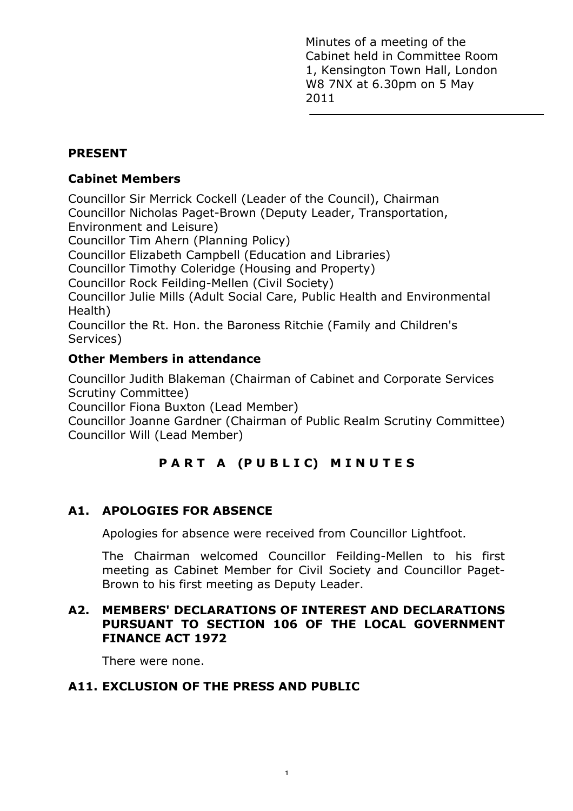Minutes of a meeting of the Cabinet held in Committee Room 1, Kensington Town Hall, London W8 7NX at 6.30pm on 5 May 2011

# **PRESENT**

### **Cabinet Members**

Councillor Sir Merrick Cockell (Leader of the Council), Chairman Councillor Nicholas Paget-Brown (Deputy Leader, Transportation, Environment and Leisure)

Councillor Tim Ahern (Planning Policy)

Councillor Elizabeth Campbell (Education and Libraries)

Councillor Timothy Coleridge (Housing and Property)

Councillor Rock Feilding-Mellen (Civil Society)

Councillor Julie Mills (Adult Social Care, Public Health and Environmental Health)

Councillor the Rt. Hon. the Baroness Ritchie (Family and Children's Services)

# **Other Members in attendance**

Councillor Judith Blakeman (Chairman of Cabinet and Corporate Services Scrutiny Committee)

Councillor Fiona Buxton (Lead Member)

Councillor Joanne Gardner (Chairman of Public Realm Scrutiny Committee) Councillor Will (Lead Member)

# **PART A (PUBLIC) MINUTES**

# **A1. APOLOGIES FOR ABSENCE**

Apologies for absence were received from Councillor Lightfoot.

The Chairman welcomed Councillor Feilding-Mellen to his first meeting as Cabinet Member for Civil Society and Councillor Paget-Brown to his first meeting as Deputy Leader.

# **A2. MEMBERS' DECLARATIONS OF INTEREST AND DECLARATIONS PURSUANT TO SECTION 106 OF THE LOCAL GOVERNMENT FINANCE ACT 1972**

There were none.

# **A11. EXCLUSION OF THE PRESS AND PUBLIC**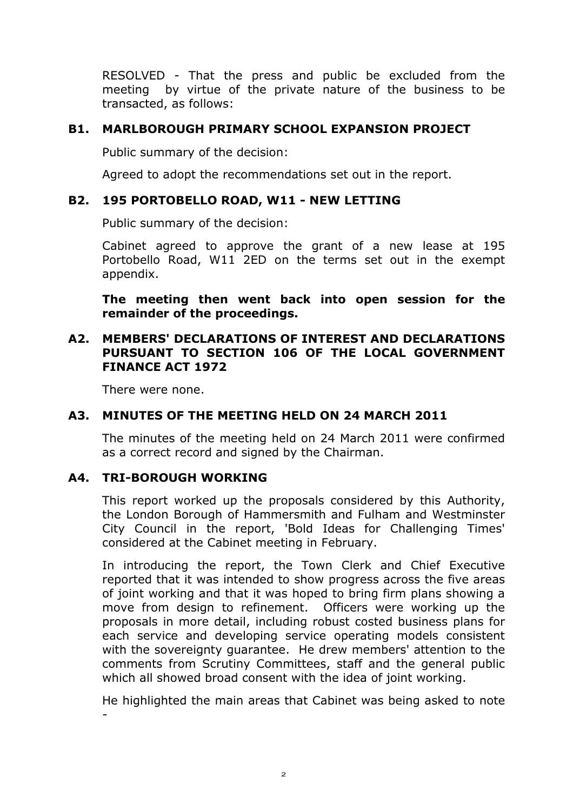RESOLVED - That the press and public be excluded from the meeting by virtue of the private nature of the business to be transacted, as follows:

### **B1. MARLBOROUGH PRIMARY SCHOOL EXPANSION PROJECT**

Public summary of the decision:

Agreed to adopt the recommendations set out in the report.

### **B2. 195 PORTOBELLO ROAD, W11 - NEW LETTING**

Public summary of the decision:

Cabinet agreed to approve the grant of a new lease at 195 Portobello Road, W11 2ED on the terms set out in the exempt appendix.

**The meeting then went back into open session for the remainder of the proceedings.** 

### **A2. MEMBERS' DECLARATIONS OF INTEREST AND DECLARATIONS PURSUANT TO SECTION 106 OF THE LOCAL GOVERNMENT FINANCE ACT 1972**

There were none.

### **A3. MINUTES OF THE MEETING HELD ON 24 MARCH 2011**

The minutes of the meeting held on 24 March 2011 were confirmed as a correct record and signed by the Chairman.

### **A4. TRI-BOROUGH WORKING**

This report worked up the proposals considered by this Authority, the London Borough of Hammersmith and Fulham and Westminster City Council in the report, 'Bold Ideas for Challenging Times' considered at the Cabinet meeting in February.

In introducing the report, the Town Clerk and Chief Executive reported that it was intended to show progress across the five areas of joint working and that it was hoped to bring firm plans showing a move from design to refinement. Officers were working up the proposals in more detail, including robust costed business plans for each service and developing service operating models consistent with the sovereignty guarantee. He drew members' attention to the comments from Scrutiny Committees, staff and the general public which all showed broad consent with the idea of joint working.

He highlighted the main areas that Cabinet was being asked to note -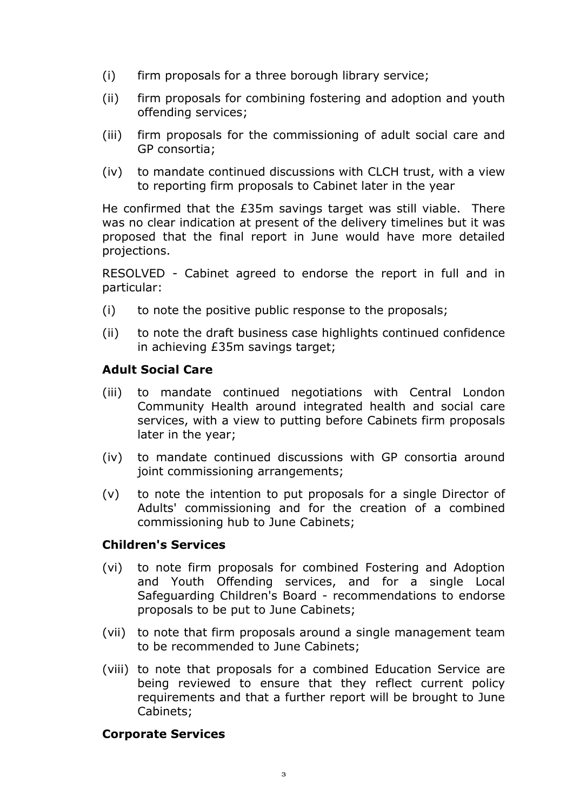- (i) firm proposals for a three borough library service;
- (ii) firm proposals for combining fostering and adoption and youth offending services;
- (iii) firm proposals for the commissioning of adult social care and GP consortia;
- (iv) to mandate continued discussions with CLCH trust, with a view to reporting firm proposals to Cabinet later in the year

He confirmed that the £35m savings target was still viable. There was no clear indication at present of the delivery timelines but it was proposed that the final report in June would have more detailed projections.

RESOLVED - Cabinet agreed to endorse the report in full and in particular:

- (i) to note the positive public response to the proposals;
- (ii) to note the draft business case highlights continued confidence in achieving £35m savings target;

### **Adult Social Care**

- (iii) to mandate continued negotiations with Central London Community Health around integrated health and social care services, with a view to putting before Cabinets firm proposals later in the year;
- (iv) to mandate continued discussions with GP consortia around joint commissioning arrangements;
- (v) to note the intention to put proposals for a single Director of Adults' commissioning and for the creation of a combined commissioning hub to June Cabinets;

#### **Children's Services**

- (vi) to note firm proposals for combined Fostering and Adoption and Youth Offending services, and for a single Local Safeguarding Children's Board - recommendations to endorse proposals to be put to June Cabinets;
- (vii) to note that firm proposals around a single management team to be recommended to June Cabinets;
- (viii) to note that proposals for a combined Education Service are being reviewed to ensure that they reflect current policy requirements and that a further report will be brought to June Cabinets;

#### **Corporate Services**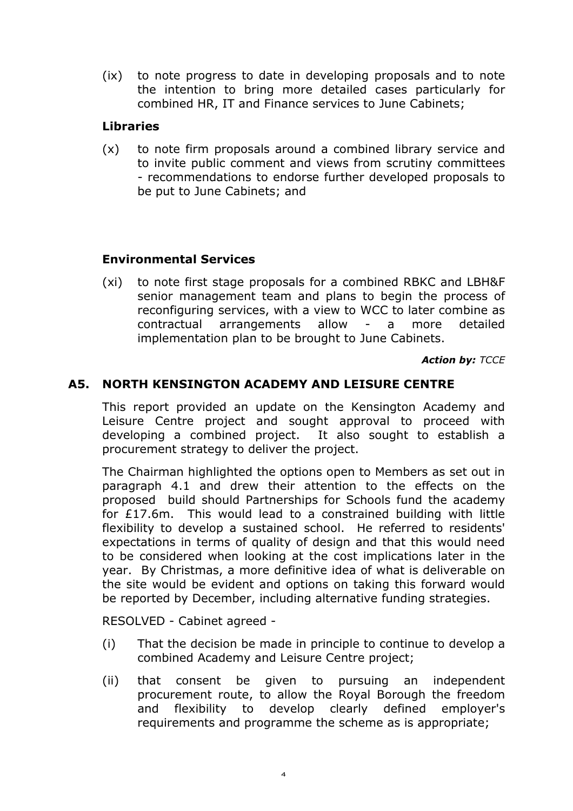(ix) to note progress to date in developing proposals and to note the intention to bring more detailed cases particularly for combined HR, IT and Finance services to June Cabinets;

# **Libraries**

(x) to note firm proposals around a combined library service and to invite public comment and views from scrutiny committees - recommendations to endorse further developed proposals to be put to June Cabinets; and

# **Environmental Services**

(xi) to note first stage proposals for a combined RBKC and LBH&F senior management team and plans to begin the process of reconfiguring services, with a view to WCC to later combine as contractual arrangements allow - a more detailed implementation plan to be brought to June Cabinets.

*Action by: TCCE*

### **A5. NORTH KENSINGTON ACADEMY AND LEISURE CENTRE**

This report provided an update on the Kensington Academy and Leisure Centre project and sought approval to proceed with developing a combined project. It also sought to establish a procurement strategy to deliver the project.

The Chairman highlighted the options open to Members as set out in paragraph 4.1 and drew their attention to the effects on the proposed build should Partnerships for Schools fund the academy for £17.6m. This would lead to a constrained building with little flexibility to develop a sustained school. He referred to residents' expectations in terms of quality of design and that this would need to be considered when looking at the cost implications later in the year. By Christmas, a more definitive idea of what is deliverable on the site would be evident and options on taking this forward would be reported by December, including alternative funding strategies.

RESOLVED - Cabinet agreed -

- (i) That the decision be made in principle to continue to develop a combined Academy and Leisure Centre project;
- (ii) that consent be given to pursuing an independent procurement route, to allow the Royal Borough the freedom and flexibility to develop clearly defined employer's requirements and programme the scheme as is appropriate;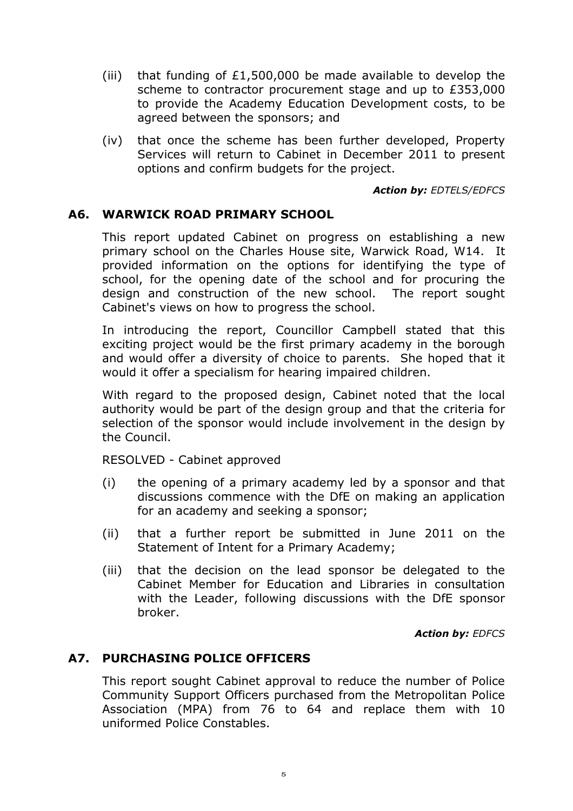- (iii) that funding of  $£1,500,000$  be made available to develop the scheme to contractor procurement stage and up to £353,000 to provide the Academy Education Development costs, to be agreed between the sponsors; and
- (iv) that once the scheme has been further developed, Property Services will return to Cabinet in December 2011 to present options and confirm budgets for the project.

*Action by: EDTELS/EDFCS*

### **A6. WARWICK ROAD PRIMARY SCHOOL**

This report updated Cabinet on progress on establishing a new primary school on the Charles House site, Warwick Road, W14. It provided information on the options for identifying the type of school, for the opening date of the school and for procuring the design and construction of the new school. The report sought Cabinet's views on how to progress the school.

In introducing the report, Councillor Campbell stated that this exciting project would be the first primary academy in the borough and would offer a diversity of choice to parents. She hoped that it would it offer a specialism for hearing impaired children.

With regard to the proposed design, Cabinet noted that the local authority would be part of the design group and that the criteria for selection of the sponsor would include involvement in the design by the Council.

RESOLVED - Cabinet approved

- (i) the opening of a primary academy led by a sponsor and that discussions commence with the DfE on making an application for an academy and seeking a sponsor;
- (ii) that a further report be submitted in June 2011 on the Statement of Intent for a Primary Academy;
- (iii) that the decision on the lead sponsor be delegated to the Cabinet Member for Education and Libraries in consultation with the Leader, following discussions with the DfE sponsor broker.

*Action by: EDFCS* 

#### **A7. PURCHASING POLICE OFFICERS**

This report sought Cabinet approval to reduce the number of Police Community Support Officers purchased from the Metropolitan Police Association (MPA) from 76 to 64 and replace them with 10 uniformed Police Constables.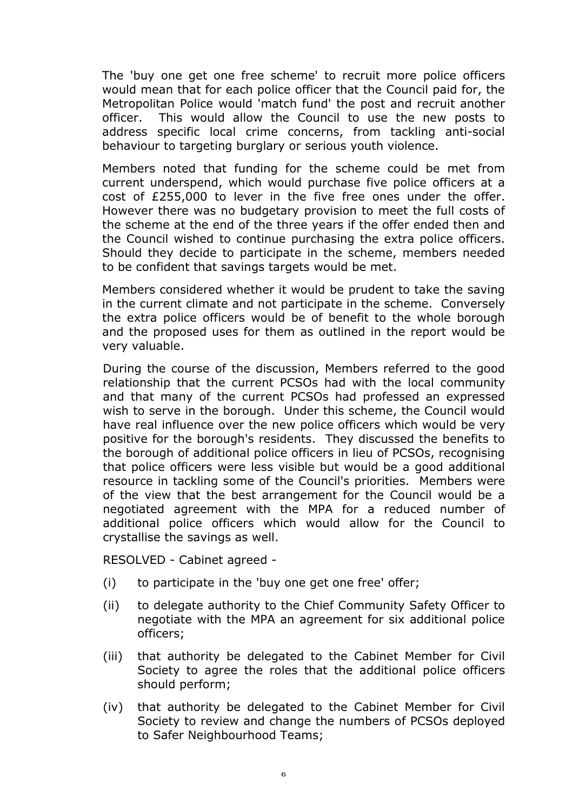The 'buy one get one free scheme' to recruit more police officers would mean that for each police officer that the Council paid for, the Metropolitan Police would 'match fund' the post and recruit another officer. This would allow the Council to use the new posts to address specific local crime concerns, from tackling anti-social behaviour to targeting burglary or serious youth violence.

Members noted that funding for the scheme could be met from current underspend, which would purchase five police officers at a cost of £255,000 to lever in the five free ones under the offer. However there was no budgetary provision to meet the full costs of the scheme at the end of the three years if the offer ended then and the Council wished to continue purchasing the extra police officers. Should they decide to participate in the scheme, members needed to be confident that savings targets would be met.

Members considered whether it would be prudent to take the saving in the current climate and not participate in the scheme. Conversely the extra police officers would be of benefit to the whole borough and the proposed uses for them as outlined in the report would be very valuable.

During the course of the discussion, Members referred to the good relationship that the current PCSOs had with the local community and that many of the current PCSOs had professed an expressed wish to serve in the borough. Under this scheme, the Council would have real influence over the new police officers which would be very positive for the borough's residents. They discussed the benefits to the borough of additional police officers in lieu of PCSOs, recognising that police officers were less visible but would be a good additional resource in tackling some of the Council's priorities. Members were of the view that the best arrangement for the Council would be a negotiated agreement with the MPA for a reduced number of additional police officers which would allow for the Council to crystallise the savings as well.

RESOLVED - Cabinet agreed -

- (i) to participate in the 'buy one get one free' offer;
- (ii) to delegate authority to the Chief Community Safety Officer to negotiate with the MPA an agreement for six additional police officers;
- (iii) that authority be delegated to the Cabinet Member for Civil Society to agree the roles that the additional police officers should perform;
- (iv) that authority be delegated to the Cabinet Member for Civil Society to review and change the numbers of PCSOs deployed to Safer Neighbourhood Teams;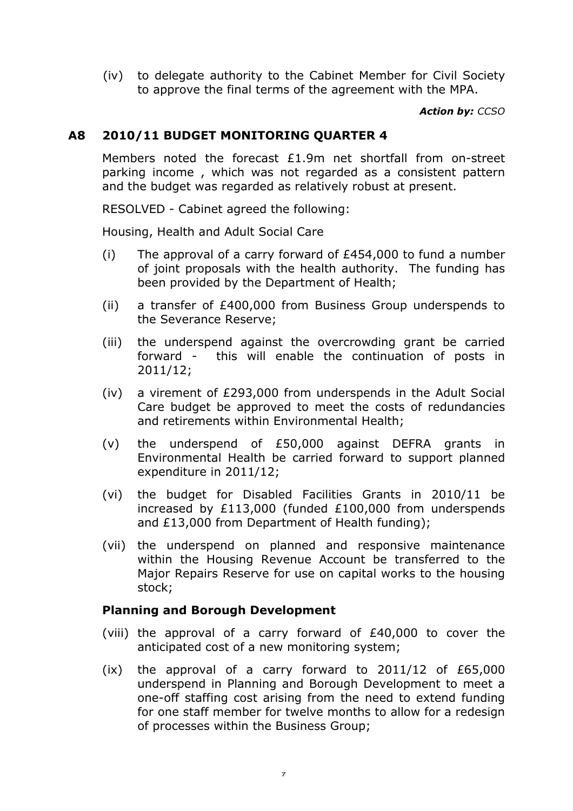(iv) to delegate authority to the Cabinet Member for Civil Society to approve the final terms of the agreement with the MPA.

*Action by: CCSO* 

### **A8 2010/11 BUDGET MONITORING QUARTER 4**

Members noted the forecast  $£1.9m$  net shortfall from on-street parking income , which was not regarded as a consistent pattern and the budget was regarded as relatively robust at present.

RESOLVED - Cabinet agreed the following:

Housing, Health and Adult Social Care

- (i) The approval of a carry forward of  $£454,000$  to fund a number of joint proposals with the health authority. The funding has been provided by the Department of Health;
- (ii) a transfer of £400,000 from Business Group underspends to the Severance Reserve;
- (iii) the underspend against the overcrowding grant be carried forward - this will enable the continuation of posts in 2011/12;
- (iv) a virement of £293,000 from underspends in the Adult Social Care budget be approved to meet the costs of redundancies and retirements within Environmental Health;
- (v) the underspend of £50,000 against DEFRA grants in Environmental Health be carried forward to support planned expenditure in 2011/12;
- (vi) the budget for Disabled Facilities Grants in 2010/11 be increased by £113,000 (funded £100,000 from underspends and £13,000 from Department of Health funding);
- (vii) the underspend on planned and responsive maintenance within the Housing Revenue Account be transferred to the Major Repairs Reserve for use on capital works to the housing stock;

### **Planning and Borough Development**

- (viii) the approval of a carry forward of £40,000 to cover the anticipated cost of a new monitoring system;
- $(ix)$  the approval of a carry forward to 2011/12 of £65,000 underspend in Planning and Borough Development to meet a one-off staffing cost arising from the need to extend funding for one staff member for twelve months to allow for a redesign of processes within the Business Group;